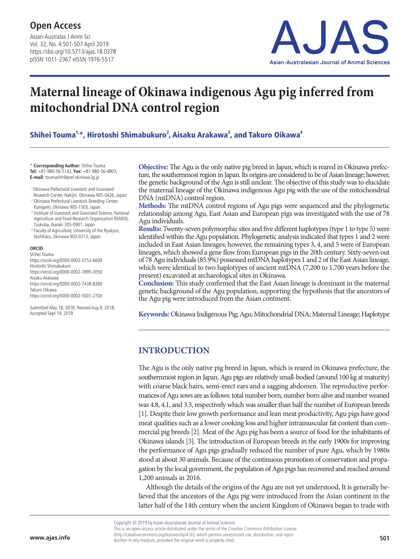Asian-Australas J Anim Sci Vol. 32, No. 4:501-507 April 2019 https://doi.org/10.5713/ajas.18.0378 pISSN 1011-2367 eISSN 1976-5517



# **Maternal lineage of Okinawa indigenous Agu pig inferred from mitochondrial DNA control region**

Shihei Touma<sup>1,</sup>\*, Hirotoshi Shimabukuro<sup>2</sup>, Aisaku Arakawa<sup>3</sup>, and Takuro Oikawa<sup>4</sup>

\* **Corresponding Author:** Shihei Touma **Tel:** +81-980-56-5142, **Fax:** +81-980-56-4803, **E-mail:** toumashh@pref.okinawa.lg.jp

- 1 Okinawa Prefectural Livestock and Grassland Research Center, Nakijin, Okinawa 905-0426, Japan
- <sup>2</sup> Okinawa Prefectural Livestock Breeding Center, Kunigami, Okinawa 905-1503, Japan
- <sup>3</sup> Institute of Livestock and Grassland Science, National Agriculture and Food Research Organization (NARO), Tsukuba, Ibaraki 305-0901, Japan
- <sup>4</sup> Faculty of Agriculture, University of the Ryukyus, Nishihara, Okinawa 903-0213, Japan

#### **ORCID**

Shihei Touma https://orcid.org/0000-0002-0752-6609 Hirotoshi Shimabukuro https://orcid.org/0000-0002-7895-3050 Aisaku Arakawa https://orcid.org/0000-0002-7438-8269 Takuro Oikawa https://orcid.org/0000-0002-5001-270X

Submitted May 18, 2018; Revised Aug 8, 2018; Accepted Sept 14, 2018

**Objective:** The Agu is the only native pig breed in Japan, which is reared in Okinawa prefecture, the southernmost region in Japan. Its origins are considered to be of Asian lineage; however, the genetic background of the Agu is still unclear. The objective of this study was to elucidate the maternal lineage of the Okinawa indigenous Agu pig with the use of the mitochondrial DNA (mtDNA) control region.

**Methods:** The mtDNA control regions of Agu pigs were sequenced and the phylogenetic relationship among Agu, East Asian and European pigs was investigated with the use of 78 Agu individuals.

**Results:** Twenty-seven polymorphic sites and five different haplotypes (type 1 to type 5) were identified within the Agu population. Phylogenetic analysis indicated that types 1 and 2 were included in East Asian lineages; however, the remaining types 3, 4, and 5 were of European lineages, which showed a gene flow from European pigs in the 20th century. Sixty-seven out of 78 Agu individuals (85.9%) possessed mtDNA haplotypes 1 and 2 of the East Asian lineage, which were identical to two haplotypes of ancient mtDNA (7,200 to 1,700 years before the present) excavated at archaeological sites in Okinawa.

**Conclusion:** This study confirmed that the East Asian lineage is dominant in the maternal genetic background of the Agu population, supporting the hypothesis that the ancestors of the Agu pig were introduced from the Asian continent.

**Keywords:** Okinawa Indigenous Pig; Agu; Mitochondrial DNA; Maternal Lineage; Haplotype

# **INTRODUCTION**

The Agu is the only native pig breed in Japan, which is reared in Okinawa prefecture, the southernmost region in Japan. Agu pigs are relatively small-bodied (around 100 kg at maturity) with coarse black hairs, semi-erect ears and a sagging abdomen. The reproductive performances of Agu sows are as follows: total number born, number born alive and number weaned was 4.8, 4.1, and 3.3, respectively which was smaller than half the number of European breeds [1]. Despite their low growth performance and lean meat productivity, Agu pigs have good meat qualities such as a lower cooking loss and higher intramuscular fat content than commercial pig breeds [2]. Meat of the Agu pig has been a source of food for the inhabitants of Okinawa islands [3]. The introduction of European breeds in the early 1900s for improving the performance of Agu pigs gradually reduced the number of pure Agu, which by 1980s stood at about 30 animals. Because of the continuous promotion of conservation and propagation by the local government, the population of Agu pigs has recovered and reached around 1,200 animals in 2016.

Although the details of the origins of the Agu are not yet understood, It is generally believed that the ancestors of the Agu pig were introduced from the Asian continent in the latter half of the 14th century when the ancient Kingdom of Okinawa began to trade with

Copyright © 2019 by Asian-Australasian Journal of Animal Sciences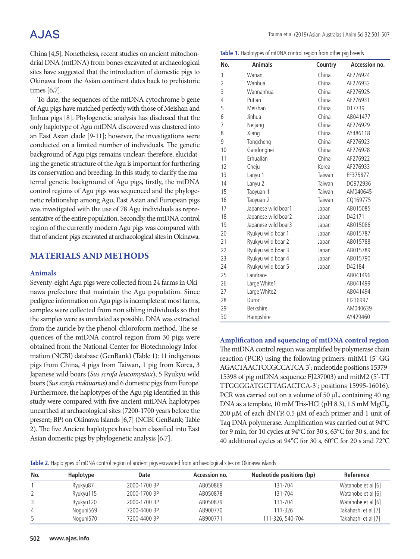# **AJAS**

China [4,5]. Nonetheless, recent studies on ancient mitochondrial DNA (mtDNA) from bones excavated at archaeological sites have suggested that the introduction of domestic pigs to Okinawa from the Asian continent dates back to prehistoric times [6,7].

To date, the sequences of the mtDNA cytochrome b gene of Agu pigs have matched perfectly with those of Meishan and Jinhua pigs [8]. Phylogenetic analysis has disclosed that the only haplotype of Agu mtDNA discovered was clustered into an East Asian clade [9-11]; however, the investigations were conducted on a limited number of individuals. The genetic background of Agu pigs remains unclear; therefore, elucidating the genetic structure of the Agu is important for furthering its conservation and breeding. In this study, to clarify the maternal genetic background of Agu pigs, firstly, the mtDNA control regions of Agu pigs was sequenced and the phylogenetic relationship among Agu, East Asian and European pigs was investigated with the use of 78 Agu individuals as representative of the entire population. Secondly, the mtDNA control region of the currently modern Agu pigs was compared with that of ancient pigs excavated at archaeological sites in Okinawa.

## **MATERIALS AND METHODS**

#### **Animals**

Seventy-eight Agu pigs were collected from 24 farms in Okinawa prefecture that maintain the Agu population. Since pedigree information on Agu pigs is incomplete at most farms, samples were collected from non sibling individuals so that the samples were as unrelated as possible. DNA was extracted from the auricle by the phenol-chloroform method. The sequences of the mtDNA control region from 30 pigs were obtained from the National Center for Biotechnology Information (NCBI) database (GenBank) (Table 1): 11 indigenous pigs from China, 4 pigs from Taiwan, 1 pig from Korea, 3 Japanese wild boars (*Sus scrofa leucomystax*), 5 Ryukyu wild boars (*Sus scrofa riukiuanus*) and 6 domestic pigs from Europe. Furthermore, the haplotypes of the Agu pig identified in this study were compared with five ancient mtDNA haplotypes unearthed at archaeological sites (7200-1700 years before the present; BP) on Okinawa Islands [6,7] (NCBI GenBank; Table 2). The five Ancient haplotypes have been classified into East Asian domestic pigs by phylogenetic analysis [6,7].

**Table 1.** Haplotypes of mtDNA control region from other pig breeds

| No.            | <b>Animals</b>      | Country | Accession no. |
|----------------|---------------------|---------|---------------|
| 1              | Wanan               | China   | AF276924      |
| $\overline{2}$ | Wanhua              | China   | AF276932      |
| 3              | Wannanhua           | China   | AF276925      |
| 4              | Putian              | China   | AF276931      |
| 5              | Meishan             | China   | D17739        |
| 6              | Jinhua              | China   | AB041477      |
| 7              | Neijang             | China   | AF276929      |
| 8              | Xiang               | China   | AY486118      |
| 9              | Tongcheng           | China   | AF276923      |
| 10             | Gandonghei          | China   | AF276928      |
| 11             | Erhualian           | China   | AF276922      |
| 12             | Cheju               | Korea   | AF276933      |
| 13             | Lanyu 1             | Taiwan  | EF375877      |
| 14             | Lanyu 2             | Taiwan  | DQ972936      |
| 15             | Taoyuan 1           | Taiwan  | AM040645      |
| 16             | Taoyuan 2           | Taiwan  | CQ169775      |
| 17             | Japanese wild boar1 | Japan   | AB015085      |
| 18             | Japanese wild boar2 | Japan   | D42171        |
| 19             | Japanese wild boar3 | Japan   | AB015086      |
| 20             | Ryukyu wild boar 1  | Japan   | AB015787      |
| 21             | Ryukyu wild boar 2  | Japan   | AB015788      |
| 22             | Ryukyu wild boar 3  | Japan   | AB015789      |
| 23             | Ryukyu wild boar 4  | Japan   | AB015790      |
| 24             | Ryukyu wild boar 5  | Japan   | D42184        |
| 25             | Landrace            |         | AB041496      |
| 26             | Large White1        |         | AB041499      |
| 27             | Large White2        |         | AB041494      |
| 28             | Duroc               |         | FJ236997      |
| 29             | Berkshire           |         | AM040639      |
| 30             | Hampshire           |         | AY429460      |

**Amplification and squencing of mtDNA control region** The mtDNA control region was amplified by polymerase chain reaction (PCR) using the following primers: mitM1 (5'-GG AGACTAACTCCGCCATCA-3'; nucleotide positions 15379-15398 of pig mtDNA sequence FJ237003) and mitM2 (5'-TT TTGGGGATGCTTAGACTCA-3'; positions 15995-16016). PCR was carried out on a volume of 50 μL, containing 40 ng DNA as a template, 10 mM Tris-HCl (pH 8.3), 1.5 mM MgCl<sub>2</sub>, 200 μM of each dNTP, 0.5 μM of each primer and 1 unit of Taq DNA polymerase. Amplification was carried out at 94°C for 9 min, for 10 cycles at 94°C for 30 s, 63°C for 30 s, and for 40 additional cycles at 94°C for 30 s, 60°C for 20 s and 72°C

**Table 2.** Haplotypes of mDNA control region of ancient pigs excavated from archaeological sites on Okinawa islands

| No. | Haplotype | Date         | Accession no. | Nucleotide positions (bp) | Reference           |
|-----|-----------|--------------|---------------|---------------------------|---------------------|
|     | Ryukyu87  | 2000-1700 BP | AB050869      | 131-704                   | Watanobe et al [6]  |
|     | Ryukyu115 | 2000-1700 BP | AB050878      | 131-704                   | Watanobe et al [6]  |
|     | Ryukyu120 | 2000-1700 BP | AB050879      | 131-704                   | Watanobe et al [6]  |
| 4   | Noguni569 | 7200-4400 BP | AB900770      | 111-326                   | Takahashi et al [7] |
|     | Noguni570 | 7200-4400 BP | AB900771      | 111-326, 540-704          | Takahashi et al [7] |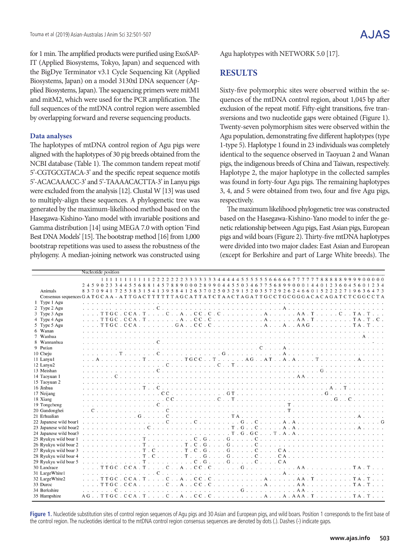for 1 min. The amplified products were purified using ExoSAP-IT (Applied Biosystems, Tokyo, Japan) and sequenced with the BigDye Terminator v3.1 Cycle Sequencing Kit (Applied Biosystems, Japan) on a model 3130xl DNA sequencer (Applied Biosystems, Japan). The sequencing primers were mitM1 and mitM2, which were used for the PCR amplification. The full sequences of the mtDNA control region were assembled by overlapping forward and reverse sequencing products.

#### **Data analyses**

The haplotypes of mtDNA control region of Agu pigs were aligned with the haplotypes of 30 pig breeds obtained from the NCBI database (Table 1). The common tandem repeat motif 5'-CGTGCGTACA-3' and the specific repeat sequence motifs 5'-ACACAAACC-3' and 5'-TAAAACACTTA-3' in Lanyu pigs were excluded from the analysis [12]. Clustal W [13] was used to multiply-align these sequences. A phylogenetic tree was generated by the maximum-likelihood method based on the Hasegawa-Kishino-Yano model with invariable positions and Gamma distribution [14] using MEGA 7.0 with option 'Find Best DNA Models' [15]. The bootstrap method [16] from 1,000 bootstrap repetitions was used to assess the robustness of the phylogeny. A median-joining network was constructed using

Agu haplotypes with NETWORK 5.0 [17].

## **RESULTS**

Sixty-five polymorphic sites were observed within the sequences of the mtDNA control region, about 1,045 bp after exclusion of the repeat motif. Fifty-eight transitions, five transversions and two nucleotide gaps were obtained (Figure 1). Twenty-seven polymorphism sites were observed within the Agu population, demonstrating five different haplotypes (type 1-type 5). Haplotype 1 found in 23 individuals was completely identical to the sequence observed in Taoyuan 2 and Wanan pigs, the indigenous breeds of China and Taiwan, respectively. Haplotype 2, the major haplotype in the collected samples was found in forty-four Agu pigs. The remaining haplotypes 3, 4, and 5 were obtained from two, four and five Agu pigs, respectively.

The maximum likelihood phylogenetic tree was constructed based on the Hasegawa-Kishino-Yano model to infer the genetic relationship between Agu pigs, East Asian pigs, European pigs and wild boars (Figure 2). Thirty-five mtDNA haplotypes were divided into two major clades: East Asian and European (except for Berkshire and part of Large White breeds). The

|                                                                                                                                                       |  |  | Nucleotide position |  |     |  |  |             |  |  |  |  |  |  |  |  |  |                        |                                                                                                                                   |  |  |  |  |
|-------------------------------------------------------------------------------------------------------------------------------------------------------|--|--|---------------------|--|-----|--|--|-------------|--|--|--|--|--|--|--|--|--|------------------------|-----------------------------------------------------------------------------------------------------------------------------------|--|--|--|--|
|                                                                                                                                                       |  |  |                     |  |     |  |  |             |  |  |  |  |  |  |  |  |  |                        | 24590233445568814578890002899044550346775689900014401236045601234                                                                 |  |  |  |  |
| Animals                                                                                                                                               |  |  |                     |  |     |  |  |             |  |  |  |  |  |  |  |  |  |                        | 8 3 7 0 9 4 1 7 2 5 3 8 3 1 5 4 1 3 9 5 8 4 1 2 6 3 7 0 2 5 0 3 2 9 1 5 2 0 3 5 7 2 9 2 6 2 4 6 6 0 1 5 2 2 2 2 7 1 9 6 3 6 4 7 3 |  |  |  |  |
| Consensus sequences G A T G C A A - A T T G A C T T T T T T A G C A T T A T C T A A C T A G A T T G C C T G C G G G A C A C A G A T C T C G G C C T A |  |  |                     |  |     |  |  |             |  |  |  |  |  |  |  |  |  |                        |                                                                                                                                   |  |  |  |  |
| 1 Type 1 Agu                                                                                                                                          |  |  |                     |  |     |  |  |             |  |  |  |  |  |  |  |  |  |                        |                                                                                                                                   |  |  |  |  |
| 2 Type 2 Agu                                                                                                                                          |  |  |                     |  |     |  |  |             |  |  |  |  |  |  |  |  |  |                        |                                                                                                                                   |  |  |  |  |
| 3 Type 3 Agu                                                                                                                                          |  |  |                     |  |     |  |  |             |  |  |  |  |  |  |  |  |  |                        |                                                                                                                                   |  |  |  |  |
| 4 Type 4 Agu                                                                                                                                          |  |  |                     |  |     |  |  |             |  |  |  |  |  |  |  |  |  |                        |                                                                                                                                   |  |  |  |  |
| 5 Type 5 Agu                                                                                                                                          |  |  |                     |  |     |  |  |             |  |  |  |  |  |  |  |  |  |                        |                                                                                                                                   |  |  |  |  |
| 6 Wanan                                                                                                                                               |  |  |                     |  |     |  |  |             |  |  |  |  |  |  |  |  |  |                        |                                                                                                                                   |  |  |  |  |
| 7 Wanhua                                                                                                                                              |  |  |                     |  |     |  |  |             |  |  |  |  |  |  |  |  |  |                        |                                                                                                                                   |  |  |  |  |
| 8 Wannanhua                                                                                                                                           |  |  |                     |  |     |  |  |             |  |  |  |  |  |  |  |  |  |                        |                                                                                                                                   |  |  |  |  |
| 9 Putian                                                                                                                                              |  |  |                     |  |     |  |  |             |  |  |  |  |  |  |  |  |  |                        |                                                                                                                                   |  |  |  |  |
| 10 Cheju                                                                                                                                              |  |  |                     |  |     |  |  |             |  |  |  |  |  |  |  |  |  |                        |                                                                                                                                   |  |  |  |  |
| 11 Lanyu1                                                                                                                                             |  |  |                     |  |     |  |  |             |  |  |  |  |  |  |  |  |  | . TGCC T AG AT A . A T |                                                                                                                                   |  |  |  |  |
| 12 Lanyu2<br>13 Meishan                                                                                                                               |  |  |                     |  |     |  |  | $\mathbf C$ |  |  |  |  |  |  |  |  |  |                        |                                                                                                                                   |  |  |  |  |
|                                                                                                                                                       |  |  |                     |  |     |  |  |             |  |  |  |  |  |  |  |  |  |                        |                                                                                                                                   |  |  |  |  |
| 14 Taoyuan 1                                                                                                                                          |  |  |                     |  |     |  |  |             |  |  |  |  |  |  |  |  |  |                        |                                                                                                                                   |  |  |  |  |
| 15 Taoyuan 2                                                                                                                                          |  |  |                     |  |     |  |  |             |  |  |  |  |  |  |  |  |  |                        |                                                                                                                                   |  |  |  |  |
| 16 Jinhua                                                                                                                                             |  |  |                     |  |     |  |  |             |  |  |  |  |  |  |  |  |  |                        |                                                                                                                                   |  |  |  |  |
| 17 Neijang<br>18 Xiang                                                                                                                                |  |  |                     |  |     |  |  |             |  |  |  |  |  |  |  |  |  |                        |                                                                                                                                   |  |  |  |  |
| 19 Tongcheng                                                                                                                                          |  |  |                     |  |     |  |  |             |  |  |  |  |  |  |  |  |  |                        |                                                                                                                                   |  |  |  |  |
| 20 Gandonghei                                                                                                                                         |  |  |                     |  |     |  |  |             |  |  |  |  |  |  |  |  |  |                        |                                                                                                                                   |  |  |  |  |
| 21 Erhualian                                                                                                                                          |  |  |                     |  | . G |  |  |             |  |  |  |  |  |  |  |  |  |                        |                                                                                                                                   |  |  |  |  |
| 22 Japanese wild boar1                                                                                                                                |  |  |                     |  |     |  |  |             |  |  |  |  |  |  |  |  |  |                        |                                                                                                                                   |  |  |  |  |
| 23 Japanese wild boar2                                                                                                                                |  |  |                     |  |     |  |  |             |  |  |  |  |  |  |  |  |  |                        |                                                                                                                                   |  |  |  |  |
| 24 Japanese wild boar3                                                                                                                                |  |  |                     |  |     |  |  |             |  |  |  |  |  |  |  |  |  |                        |                                                                                                                                   |  |  |  |  |
| 25 Ryukyu wild boar 1                                                                                                                                 |  |  |                     |  |     |  |  |             |  |  |  |  |  |  |  |  |  |                        |                                                                                                                                   |  |  |  |  |
| 26 Ryukyu wild boar 2                                                                                                                                 |  |  |                     |  |     |  |  |             |  |  |  |  |  |  |  |  |  |                        |                                                                                                                                   |  |  |  |  |
| 27 Ryukyu wild boar 3                                                                                                                                 |  |  |                     |  |     |  |  |             |  |  |  |  |  |  |  |  |  |                        |                                                                                                                                   |  |  |  |  |
| 28 Ryukyu wild boar 4                                                                                                                                 |  |  |                     |  |     |  |  |             |  |  |  |  |  |  |  |  |  |                        |                                                                                                                                   |  |  |  |  |
| 29 Ryukyu wild boar 5                                                                                                                                 |  |  |                     |  |     |  |  |             |  |  |  |  |  |  |  |  |  |                        |                                                                                                                                   |  |  |  |  |
| 30 Landrace                                                                                                                                           |  |  |                     |  |     |  |  |             |  |  |  |  |  |  |  |  |  |                        |                                                                                                                                   |  |  |  |  |
| 31 LargeWhite1                                                                                                                                        |  |  |                     |  |     |  |  |             |  |  |  |  |  |  |  |  |  |                        |                                                                                                                                   |  |  |  |  |
| 32 LargeWhite2                                                                                                                                        |  |  |                     |  |     |  |  |             |  |  |  |  |  |  |  |  |  |                        | TTGC.CCA.TCACC.CAAA.TTA.T                                                                                                         |  |  |  |  |
| 33 Duroc                                                                                                                                              |  |  |                     |  |     |  |  |             |  |  |  |  |  |  |  |  |  |                        |                                                                                                                                   |  |  |  |  |
| 34 Berkshire                                                                                                                                          |  |  |                     |  |     |  |  |             |  |  |  |  |  |  |  |  |  |                        |                                                                                                                                   |  |  |  |  |
| 35 Hampshire                                                                                                                                          |  |  |                     |  |     |  |  |             |  |  |  |  |  |  |  |  |  |                        |                                                                                                                                   |  |  |  |  |
|                                                                                                                                                       |  |  |                     |  |     |  |  |             |  |  |  |  |  |  |  |  |  |                        |                                                                                                                                   |  |  |  |  |

Figure 1. Nucleotide substitution sites of control region sequences of Agu pigs and 30 Asian and European pigs, and wild boars. Position 1 corresponds to the first base of the control region. The nucleotides identical to the mtDNA control region consensus sequences are denoted by dots (.). Dashes (-) indicate gaps.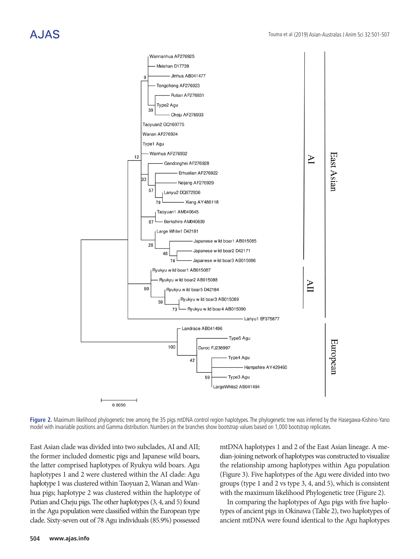

Figure 2. Maximum likelihood phylogenetic tree among the 35 pigs mtDNA control region haplotypes. The phylogenetic tree was inferred by the Hasegawa-Kishino-Yano model with invariable positions and Gamma distribution. Numbers on the branches show bootstrap values based on 1,000 bootstrap replicates.

East Asian clade was divided into two subclades, AI and AII; the former included domestic pigs and Japanese wild boars, the latter comprised haplotypes of Ryukyu wild boars. Agu haplotypes 1 and 2 were clustered within the AI clade: Agu haplotype 1 was clustered within Taoyuan 2, Wanan and Wanhua pigs; haplotype 2 was clustered within the haplotype of Putian and Cheju pigs. The other haplotypes (3, 4, and 5) found in the Agu population were classified within the European type clade. Sixty-seven out of 78 Agu individuals (85.9%) possessed

mtDNA haplotypes 1 and 2 of the East Asian lineage. A median-joining network of haplotypes was constructed to visualize the relationship among haplotypes within Agu population (Figure 3). Five haplotypes of the Agu were divided into two groups (type 1 and 2 vs type 3, 4, and 5), which is consistent with the maximum likelihood Phylogenetic tree (Figure 2).

In comparing the haplotypes of Agu pigs with five haplotypes of ancient pigs in Okinawa (Table 2), two haplotypes of ancient mtDNA were found identical to the Agu haplotypes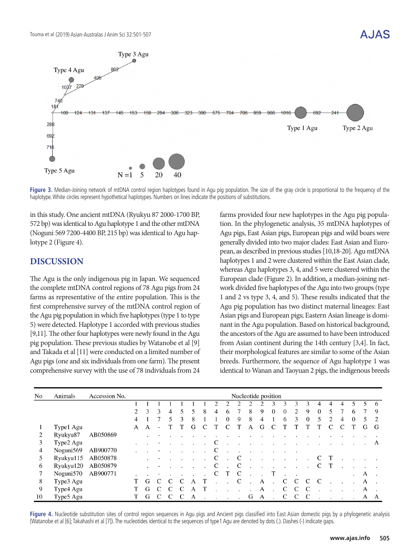# $\Delta$ . I $\Delta$ S



Figure 3. Median-Joining network of mtDNA control region haplotypes found in Agu pig population. The size of the gray circle is proportional to the frequency of the haplotype. White circles represent hypothetical haplotypes. Numbers on lines indicate the positions of substitutions.

in this study. One ancient mtDNA (Ryukyu 87 2000-1700 BP, 572 bp) was identical to Agu haplotype 1 and the other mtDNA (Noguni 569 7200-4400 BP, 215 bp) was identical to Agu haplotype 2 (Figure 4).

### **DISCUSSION**

The Agu is the only indigenous pig in Japan. We sequenced the complete mtDNA control regions of 78 Agu pigs from 24 farms as representative of the entire population. This is the first comprehensive survey of the mtDNA control region of the Agu pig population in which five haplotypes (type 1 to type 5) were detected. Haplotype 1 accorded with previous studies [9,11]. The other four haplotypes were newly found in the Agu pig population. These previous studies by Watanobe et al [9] and Takada et al [11] were conducted on a limited number of Agu pigs (one and six individuals from one farm). The present comprehensive survey with the use of 78 individuals from 24

farms provided four new haplotypes in the Agu pig population. In the phylogenetic analysis, 35 mtDNA haplotypes of Agu pigs, East Asian pigs, European pigs and wild boars were generally divided into two major clades: East Asian and European, as described in previous studies [10,18-20]. Agu mtDNA haplotypes 1 and 2 were clustered within the East Asian clade, whereas Agu haplotypes 3, 4, and 5 were clustered within the European clade (Figure 2). In addition, a median-joining network divided five haplotypes of the Agu into two groups (type 1 and 2 vs type 3, 4, and 5). These results indicated that the Agu pig population has two distinct maternal lineages: East Asian pigs and European pigs; Eastern Asian lineage is dominant in the Agu population. Based on historical background, the ancestors of the Agu are assumed to have been introduced from Asian continent during the 14th century [3,4]. In fact, their morphological features are similar to some of the Asian breeds. Furthermore, the sequence of Agu haplotype 1 was identical to Wanan and Taoyuan 2 pigs, the indigenous breeds

| No | Animals         | Accession No. | Nucleotide position |   |   |   |   |   |   |   |   |   |   |   |          |   |                |          |   |   |   |         |    |   |
|----|-----------------|---------------|---------------------|---|---|---|---|---|---|---|---|---|---|---|----------|---|----------------|----------|---|---|---|---------|----|---|
|    |                 |               |                     |   |   |   |   |   |   |   |   |   |   |   |          |   | 3              | 3        | 4 | 4 | 4 |         |    | 6 |
|    |                 |               | 2                   | 3 | 3 | 4 |   |   | 8 | 4 | 6 |   | 8 | 9 | $\Omega$ | 0 | $\mathfrak{D}$ | 9        | 0 | 5 |   | 6       |    | 9 |
|    |                 |               | 4                   |   |   |   | 3 | 8 |   |   | 0 | 9 | 8 | 4 |          | 6 | 3              | $\theta$ | 5 | 2 | 4 | 0       | 5. |   |
|    | Type1 Agu       |               | A                   | A |   |   |   | G |   |   |   |   | А | G |          |   |                |          |   |   |   |         | G  | G |
| 2  | Ryukyu87        | AB050869      |                     |   |   |   |   |   |   |   |   |   |   |   |          |   |                |          |   |   |   |         |    |   |
| 3  | Type2 Agu       |               |                     |   |   |   |   |   |   |   |   |   |   |   |          |   |                |          |   |   |   |         |    | A |
| 4  | Noguni569       | AB900770      |                     |   |   |   |   |   |   |   |   |   |   |   |          |   |                |          |   |   |   |         |    |   |
| 5  | $R$ yukyu $115$ | AB050878      |                     |   |   |   |   |   |   | C |   | C |   |   |          |   |                |          |   |   |   |         |    |   |
| 6  | Ryukyu120       | AB050879      |                     |   |   |   |   |   |   |   |   |   |   |   |          |   |                |          |   |   |   |         |    |   |
|    | Noguni570       | AB900771      |                     |   |   |   |   |   |   | C |   | C |   |   | T        |   |                |          |   |   |   | $\cdot$ | A  |   |
| 8  | Type3 Agu       |               |                     | G |   |   |   |   |   |   |   |   |   | А |          |   |                |          | C |   |   |         | A  |   |
| 9  | Type4 Agu       |               |                     | G |   |   |   |   |   |   |   |   |   | A |          | C | C              | C        |   |   |   |         | A  |   |
| 10 | Type5 Agu       |               |                     | G |   |   |   | Α |   |   |   |   | G | A |          | C |                |          |   |   |   |         | А  | A |

Figure 4. Nucleotide substitution sites of control region sequences in Agu pigs and Ancient pigs classified into East Asian domestic pigs by a phylogenetic analysis (Watanobe et al [6]; Takahashi et al [7]). The nucleotides identical to the sequences of type1 Agu are denoted by dots (.). Dashes (-) indicate gaps.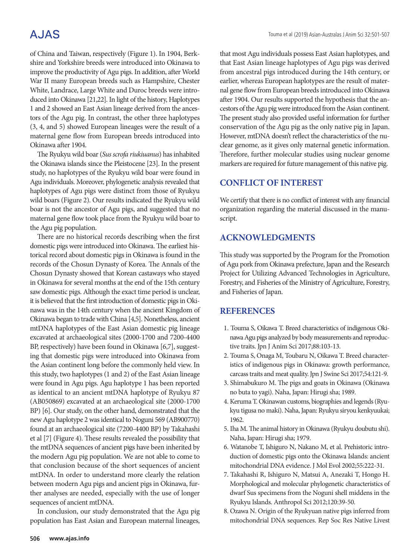# **AJAS**

of China and Taiwan, respectively (Figure 1). In 1904, Berkshire and Yorkshire breeds were introduced into Okinawa to improve the productivity of Agu pigs. In addition, after World War II many European breeds such as Hampshire, Chester White, Landrace, Large White and Duroc breeds were introduced into Okinawa [21,22]. In light of the history, Haplotypes 1 and 2 showed an East Asian lineage derived from the ancestors of the Agu pig. In contrast, the other three haplotypes (3, 4, and 5) showed European lineages were the result of a maternal gene flow from European breeds introduced into Okinawa after 1904.

The Ryukyu wild boar (*Sus scrofa riukiuanus*) has inhabited the Okinawa islands since the Pleistocene [23]. In the present study, no haplotypes of the Ryukyu wild boar were found in Agu individuals. Moreover, phylogenetic analysis revealed that haplotypes of Agu pigs were distinct from those of Ryukyu wild boars (Figure 2). Our results indicated the Ryukyu wild boar is not the ancestor of Agu pigs, and suggested that no maternal gene flow took place from the Ryukyu wild boar to the Agu pig population.

There are no historical records describing when the first domestic pigs were introduced into Okinawa. The earliest historical record about domestic pigs in Okinawa is found in the records of the Chosun Dynasty of Korea. The Annals of the Chosun Dynasty showed that Korean castaways who stayed in Okinawa for several months at the end of the 15th century saw domestic pigs. Although the exact time period is unclear, it is believed that the first introduction of domestic pigs in Okinawa was in the 14th century when the ancient Kingdom of Okinawa began to trade with China [4,5]. Nonetheless, ancient mtDNA haplotypes of the East Asian domestic pig lineage excavated at archaeological sites (2000-1700 and 7200-4400 BP, respectively) have been found in Okinawa [6,7], suggesting that domestic pigs were introduced into Okinawa from the Asian continent long before the commonly held view. In this study, two haplotypes (1 and 2) of the East Asian lineage were found in Agu pigs. Agu haplotype 1 has been reported as identical to an ancient mtDNA haplotype of Ryukyu 87 (AB050869) excavated at an archaeological site (2000-1700 BP) [6]. Our study, on the other hand, demonstrated that the new Agu haplotype 2 was identical to Noguni 569 (AB900770) found at an archaeological site (7200-4400 BP) by Takahashi et al [7] (Figure 4). These results revealed the possibility that the mtDNA sequences of ancient pigs have been inherited by the modern Agu pig population. We are not able to come to that conclusion because of the short sequences of ancient mtDNA. In order to understand more clearly the relation between modern Agu pigs and ancient pigs in Okinawa, further analyses are needed, especially with the use of longer sequences of ancient mtDNA.

In conclusion, our study demonstrated that the Agu pig population has East Asian and European maternal lineages, that most Agu individuals possess East Asian haplotypes, and that East Asian lineage haplotypes of Agu pigs was derived from ancestral pigs introduced during the 14th century, or earlier, whereas European haplotypes are the result of maternal gene flow from European breeds introduced into Okinawa after 1904. Our results supported the hypothesis that the ancestors of the Agu pig were introduced from the Asian continent. The present study also provided useful information for further conservation of the Agu pig as the only native pig in Japan. However, mtDNA doesn't reflect the characteristics of the nuclear genome, as it gives only maternal genetic information. Therefore, further molecular studies using nuclear genome markers are required for future management of this native pig.

#### **CONFLICT OF INTEREST**

We certify that there is no conflict of interest with any financial organization regarding the material discussed in the manuscript.

### **ACKNOWLEDGMENTS**

This study was supported by the Program for the Promotion of Agu pork from Okinawa prefecture, Japan and the Research Project for Utilizing Advanced Technologies in Agriculture, Forestry, and Fisheries of the Ministry of Agriculture, Forestry, and Fisheries of Japan.

#### **REFERENCES**

- 1. Touma S, Oikawa T. Breed characteristics of indigenous Okinawa Agu pigs analyzed by body measurements and reproductive traits. Jpn J Anim Sci 2017;88:103-13.
- 2. Touma S, Onaga M, Toubaru N, Oikawa T. Breed characteristics of indigenous pigs in Okinawa: growth performance, carcass traits and meat quality. Jpn J Swine Sci 2017;54:121-9.
- 3. Shimabukuro M. The pigs and goats in Okinawa (Okinawa no buta to yagi). Naha, Japan: Hirugi sha; 1989.
- 4. Keruma T. Okinawan customs, biographies and legends (Ryukyu tigusa no maki). Naha, Japan: Ryukyu siryou kenkyuukai; 1962.
- 5. Iha M. The animal history in Okinawa (Ryukyu doubutu shi). Naha, Japan: Hirugi sha; 1979.
- 6. Watanobe T, Ishiguro N, Nakano M, et al. Prehistoric introduction of domestic pigs onto the Okinawa Islands: ancient mitochondrial DNA evidence. J Mol Evol 2002;55:222-31.
- 7. Takahashi R, Ishiguro N, Matsui A, Anezaki T, Hongo H. Morphological and molecular phylogenetic characteristics of dwarf Sus specimens from the Noguni shell middens in the Ryukyu Islands. Anthropol Sci 2012;120:39-50.
- 8. Ozawa N. Origin of the Ryukyuan native pigs inferred from mitochondrial DNA sequences. Rep Soc Res Native Livest